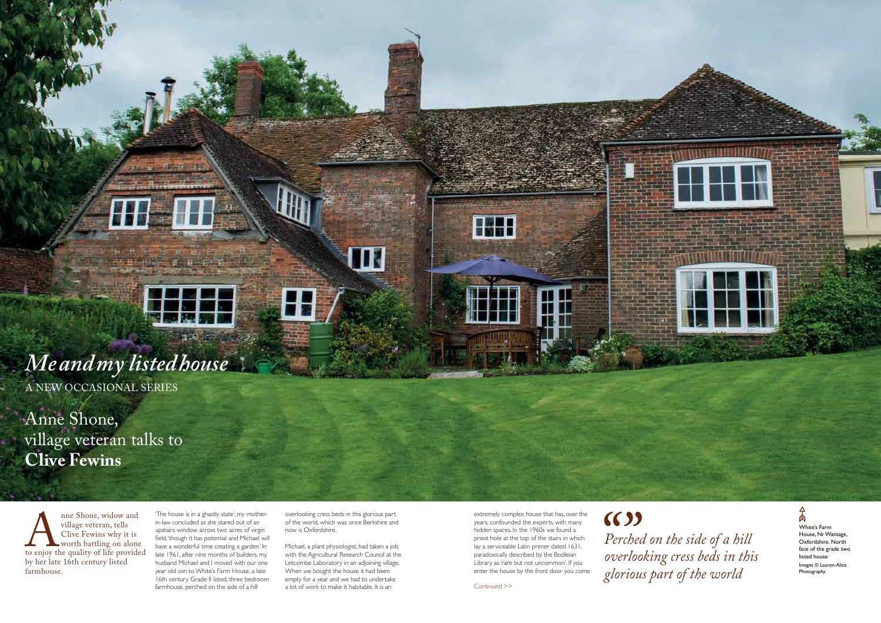anne Shone, widow and<br>
village veteran, tells<br>
Clive Fewins why it is<br>
worth battling on alone<br>
to enjoy the quality of life provide<br>
by her late 16th century listed village veteran, tells Clive Fewins why it is worth battling on alone to enjoy the quality of life provided by her late 16th century listed farmhouse.

'The house is in a ghastly state', my motherin-law concluded as she stared out of an upstairs window across two acres of virgin field, 'though it has potential and Michael will have a wonderful time creating a garden.' In late 1961, after nine months of builders, my husband Michael and I moved with our one year old son to White's Farm House, a late 16th century Grade II listed, three bedroom farmhouse, perched on the side of a hill a lot of work to make it habitable. It is an  $\hbox{Continued}>>$ 

White's Farm House, Nr Wantage, Oxfordshire. North face of the grade two listed house Images © Lauren-Alice

Photography

overlooking cress beds in this glorious part of the world, which was once Berkshire and now is Oxfordshire.

Michael, a plant physiologist, had taken a job with the Agricultural Research Council at the Letcombe Laboratory in an adjoining village. When we bought the house it had been empty for a year and we had to undertake

extremely complex house that has, over the years, confounded the experts, with many hidden spaces. In the 1960s we found a priest hole at the top of the stairs in which lay a serviceable Latin primer dated 1631, paradoxically described by the Bodleian Library as 'rare but not uncommon'. If you enter the house by the front door you come  $(6)$ 



# *Me and my listed house*

A NEW OCCASIONAL SERIES

Anne Shone, village veteran talks to **Clive Fewins**

> *Perched on the side of a hill overlooking cress beds in this glorious part of the world*

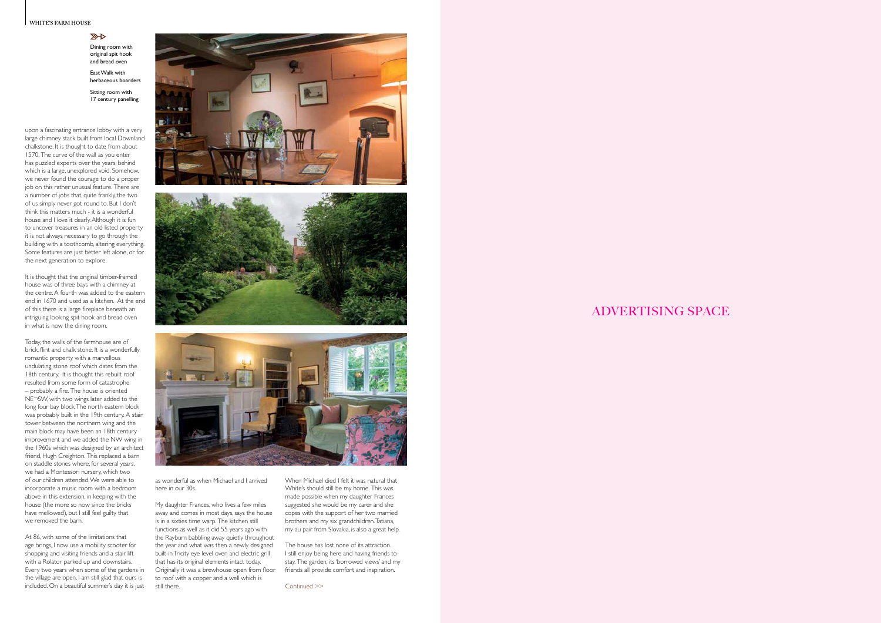#### **WHITE'S FARM HOUSE**

### $\mathbb{Z}$

## ADVERTISING SPACE

Continued >>

Dining room with original spit hook and bread oven

East Walk with herbaceous boarders

Sitting room with 17 century panelling

upon a fascinating entrance lobby with a very large chimney stack built from local Downland chalkstone. It is thought to date from about 1570. The curve of the wall as you enter has puzzled experts over the years, behind which is a large, unexplored void. Somehow, we never found the courage to do a proper job on this rather unusual feature. There are a number of jobs that, quite frankly, the two of us simply never got round to. But I don't think this matters much - it is a wonderful house and I love it dearly. Although it is fun to uncover treasures in an old listed property it is not always necessary to go through the building with a toothcomb, altering everything. Some features are just better left alone, or for the next generation to explore.

It is thought that the original timber-framed house was of three bays with a chimney at the centre. A fourth was added to the eastern end in 1670 and used as a kitchen. At the end of this there is a large fireplace beneath an intriguing looking spit hook and bread oven in what is now the dining room.

Today, the walls of the farmhouse are of brick, flint and chalk stone. It is a wonderfully romantic property with a marvellous undulating stone roof which dates from the 18th century. It is thought this rebuilt roof resulted from some form of catastrophe – probably a fire. The house is oriented NE¬SW, with two wings later added to the long four bay block. The north eastern block was probably built in the 19th century. A stair tower between the northern wing and the main block may have been an 18th century improvement and we added the NW wing in the 1960s which was designed by an architect friend, Hugh Creighton. This replaced a barn on staddle stones where, for several years, we had a Montessori nursery, which two of our children attended. We were able to incorporate a music room with a bedroom above in this extension, in keeping with the house (the more so now since the bricks have mellowed), but I still feel guilty that we removed the barn.

At 86, with some of the limitations that age brings, I now use a mobility scooter for shopping and visiting friends and a stair lift with a Rolator parked up and downstairs. Every two years when some of the gardens in the village are open, I am still glad that ours is included. On a beautiful summer's day it is just







as wonderful as when Michael and I arrived here in our 30s.

My daughter Frances, who lives a few miles away and comes in most days, says the house is in a sixties time warp. The kitchen still functions as well as it did 55 years ago with the Rayburn babbling away quietly throughout the year and what was then a newly designed built-in Tricity eye level oven and electric grill that has its original elements intact today. Originally it was a brewhouse open from floor to roof with a copper and a well which is still there.

When Michael died I felt it was natural that White's should still be my home. This was made possible when my daughter Frances suggested she would be my carer and she copes with the support of her two married brothers and my six grandchildren. Tatiana, my au pair from Slovakia, is also a great help.

The house has lost none of its attraction. I still enjoy being here and having friends to stay. The garden, its 'borrowed views' and my friends all provide comfort and inspiration.